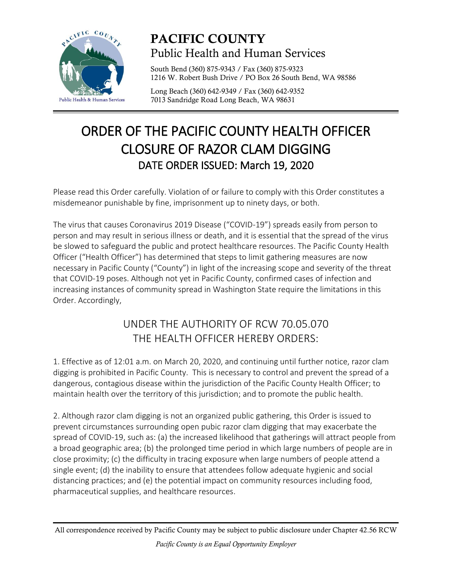

## PACIFIC COUNTY Public Health and Human Services

South Bend (360) 875-9343 / Fax (360) 875-9323 1216 W. Robert Bush Drive / PO Box 26 South Bend, WA 98586

Long Beach (360) 642-9349 / Fax (360) 642-9352 7013 Sandridge Road Long Beach, WA 98631

## ORDER OF THE PACIFIC COUNTY HEALTH OFFICER CLOSURE OF RAZOR CLAM DIGGING DATE ORDER ISSUED: March 19, 2020

Please read this Order carefully. Violation of or failure to comply with this Order constitutes a misdemeanor punishable by fine, imprisonment up to ninety days, or both.

The virus that causes Coronavirus 2019 Disease ("COVID-19") spreads easily from person to person and may result in serious illness or death, and it is essential that the spread of the virus be slowed to safeguard the public and protect healthcare resources. The Pacific County Health Officer ("Health Officer") has determined that steps to limit gathering measures are now necessary in Pacific County ("County") in light of the increasing scope and severity of the threat that COVID-19 poses. Although not yet in Pacific County, confirmed cases of infection and increasing instances of community spread in Washington State require the limitations in this Order. Accordingly,

## UNDER THE AUTHORITY OF RCW 70.05.070 THE HEALTH OFFICER HEREBY ORDERS:

1. Effective as of 12:01 a.m. on March 20, 2020, and continuing until further notice, razor clam digging is prohibited in Pacific County. This is necessary to control and prevent the spread of a dangerous, contagious disease within the jurisdiction of the Pacific County Health Officer; to maintain health over the territory of this jurisdiction; and to promote the public health.

2. Although razor clam digging is not an organized public gathering, this Order is issued to prevent circumstances surrounding open pubic razor clam digging that may exacerbate the spread of COVID-19, such as: (a) the increased likelihood that gatherings will attract people from a broad geographic area; (b) the prolonged time period in which large numbers of people are in close proximity; (c) the difficulty in tracing exposure when large numbers of people attend a single event; (d) the inability to ensure that attendees follow adequate hygienic and social distancing practices; and (e) the potential impact on community resources including food, pharmaceutical supplies, and healthcare resources.

All correspondence received by Pacific County may be subject to public disclosure under Chapter 42.56 RCW